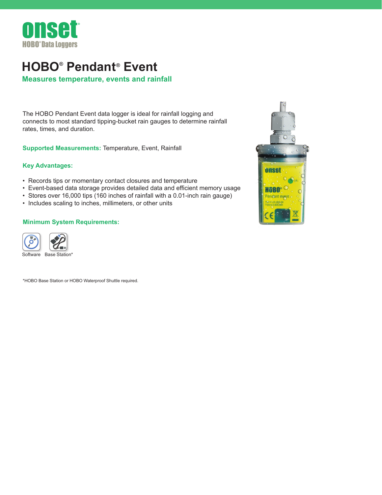

## **Measures temperature, events and rainfall HOBO® Pendant® Event**

The HOBO Pendant Event data logger is ideal for rainfall logging and connects to most standard tipping-bucket rain gauges to determine rainfall rates, times, and duration.

**Supported Measurements:** Temperature, Event, Rainfall

## **Key Advantages:**

- Records tips or momentary contact closures and temperature
- Event-based data storage provides detailed data and efficient memory usage
- Stores over 16,000 tips (160 inches of rainfall with a 0.01-inch rain gauge)
- Includes scaling to inches, millimeters, or other units

## **Minimum System Requirements:**



\*HOBO Base Station or HOBO Waterproof Shuttle required.